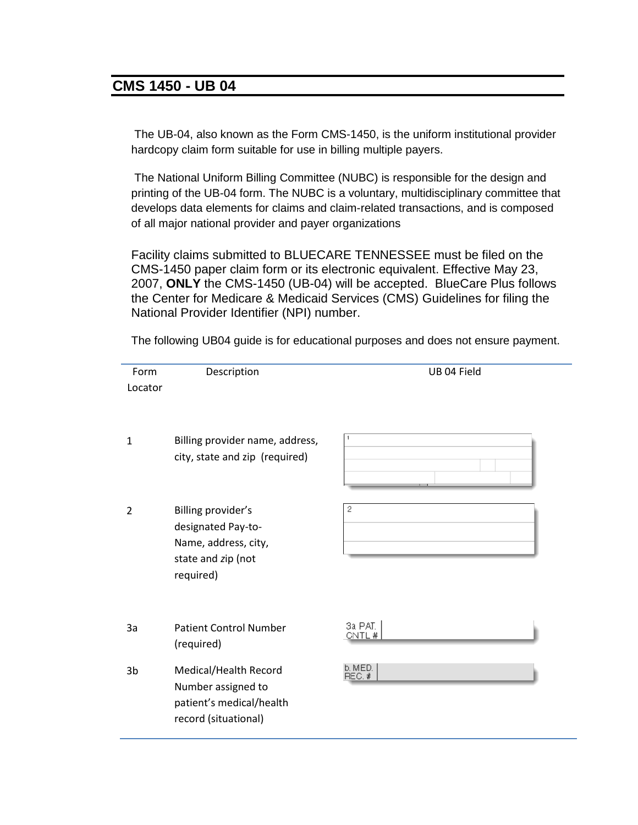## **CMS 1450 - UB 04**

The UB-04, also known as the Form CMS-1450, is the uniform institutional provider hardcopy claim form suitable for use in billing multiple payers.

The National Uniform Billing Committee (NUBC) is responsible for the design and printing of the UB-04 form. The NUBC is a voluntary, multidisciplinary committee that develops data elements for claims and claim-related transactions, and is composed of all major national provider and payer organizations

Facility claims submitted to BLUECARE TENNESSEE must be filed on the CMS-1450 paper claim form or its electronic equivalent. Effective May 23, 2007, **ONLY** the CMS-1450 (UB-04) will be accepted. BlueCare Plus follows the Center for Medicare & Medicaid Services (CMS) Guidelines for filing the National Provider Identifier (NPI) number.

Form Description UB 04 Field Locator 1 Billing provider name, address, city, state and zip (required) 2 Billing provider's 2 designated Pay-to-Name, address, city, state and *z*ip (not required) 3a PAT. 3a Patient Control Number CNTL# (required) b. MED.<br>REC. # 3b Medical/Health Record Number assigned to patient's medical/health record (situational)

The following UB04 guide is for educational purposes and does not ensure payment.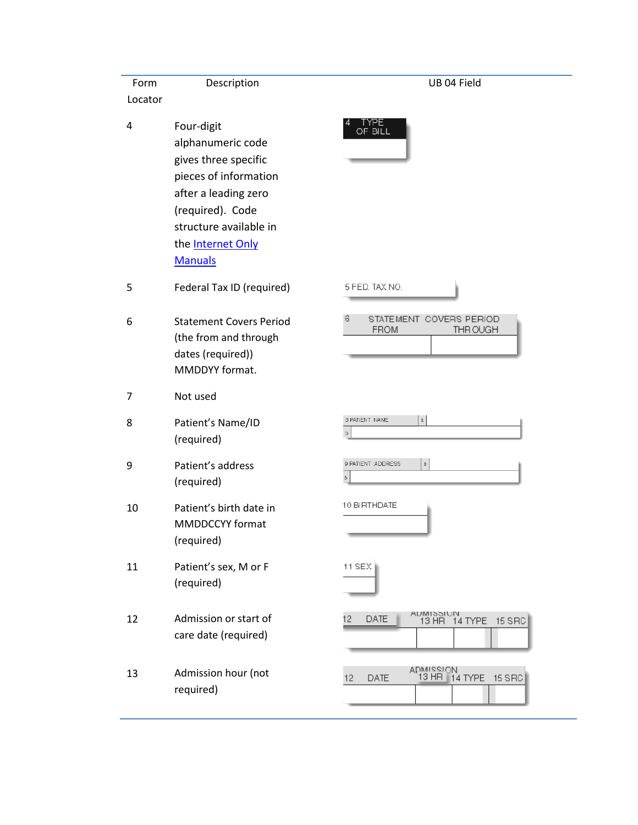| Form           | Description                                                                                                                                                                                          | UB 04 Field                                                      |
|----------------|------------------------------------------------------------------------------------------------------------------------------------------------------------------------------------------------------|------------------------------------------------------------------|
| Locator        |                                                                                                                                                                                                      |                                                                  |
| $\pmb{4}$      | Four-digit<br>alphanumeric code<br>gives three specific<br>pieces of information<br>after a leading zero<br>(required). Code<br>structure available in<br>the <b>Internet Only</b><br><b>Manuals</b> | 'YPE.<br>OF BILL                                                 |
| 5              | Federal Tax ID (required)                                                                                                                                                                            | 5 FED. TAX NO.                                                   |
| 6              | <b>Statement Covers Period</b><br>(the from and through<br>dates (required))<br>MMDDYY format.                                                                                                       | $\epsilon$<br>STATEMENT COVERS PERIOD<br><b>FROM</b><br>THR OUGH |
| $\overline{7}$ | Not used                                                                                                                                                                                             |                                                                  |
| 8              | Patient's Name/ID<br>(required)                                                                                                                                                                      | 8 PATIENT NAME<br>$\rm{a}$<br>$\mathfrak b$                      |
| 9              | Patient's address<br>(required)                                                                                                                                                                      | $\rm{a}$<br>9 PATIENT ADDRESS<br>b                               |
| 10             | Patient's birth date in<br><b>MMDDCCYY</b> format<br>(required)                                                                                                                                      | 10 BIRTHDATE                                                     |
| 11             | Patient's sex, M or F<br>(required)                                                                                                                                                                  | 11 SEX                                                           |
| 12             | Admission or start of<br>care date (required)                                                                                                                                                        | ADIVITS STON<br>13 HR 14 TYPE<br>12<br><b>DATE</b><br>15 SRC     |
| 13             | Admission hour (not<br>required)                                                                                                                                                                     | ADMISSION<br>13 HR   14<br>14 TYPE 15 SRC<br>DATE<br>12          |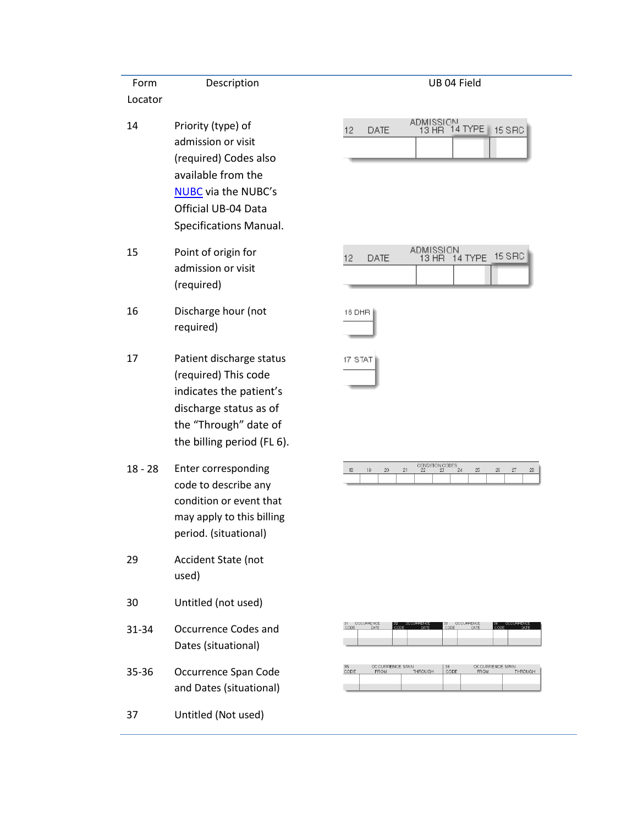| Form<br>Locator | Description                                                                                                                                                            |                            |
|-----------------|------------------------------------------------------------------------------------------------------------------------------------------------------------------------|----------------------------|
| 14              | Priority (type) of<br>admission or visit<br>(required) Codes also<br>available from the<br><b>NUBC</b> via the NUBC's<br>Official UB-04 Data<br>Specifications Manual. | $12 \overline{ }$<br>DATE  |
| 15              | Point of origin for<br>admission or visit<br>(required)                                                                                                                | 12<br>DATE                 |
| 16              | Discharge hour (not<br>required)                                                                                                                                       | 16 DHR                     |
| 17              | Patient discharge status<br>(required) This code<br>indicates the patient's<br>discharge status as of<br>the "Through" date of<br>the billing period (FL 6).           | 17 STAT                    |
| $18 - 28$       | Enter corresponding<br>code to describe any<br>condition or event that<br>may apply to this billing<br>period. (situational)                                           | $\overline{c}$<br>18<br>19 |
| 29              | Accident State (not<br>used)                                                                                                                                           |                            |
| 30              | Untitled (not used)                                                                                                                                                    |                            |
| 31-34           | Occurrence Codes and<br>Dates (situational)                                                                                                                            | OCCURRENCE<br>31<br>CODE   |
| 35-36           | Occurrence Span Code<br>and Dates (situational)                                                                                                                        | 35<br>CODE<br>OCCUF        |
| 37              | Untitled (Not used)                                                                                                                                                    |                            |
|                 |                                                                                                                                                                        |                            |

| 2 | DATE. | ADMISSION,<br>13 HR 14 TYPE 15 SRC |  |
|---|-------|------------------------------------|--|
|   |       |                                    |  |
|   |       |                                    |  |

UB 04 Field

| 12 <sup>2</sup> | DATE. | ADMISSION | 13 HR 14 TYPE 15 SRC |  |
|-----------------|-------|-----------|----------------------|--|
|                 |       |           |                      |  |

|  |  |  |                 | n. |  |
|--|--|--|-----------------|----|--|
|  |  |  |                 |    |  |
|  |  |  |                 |    |  |
|  |  |  | CONDITION CODES |    |  |



| 35<br>CODE | OCCURRENCE SPAN<br><b>FROM</b> | <b>THROUGH</b> | 36<br>CODE | OCCURRENCE SPAN<br><b>FROM</b> | THROUGH |
|------------|--------------------------------|----------------|------------|--------------------------------|---------|
|            |                                |                |            |                                |         |
|            |                                |                |            |                                |         |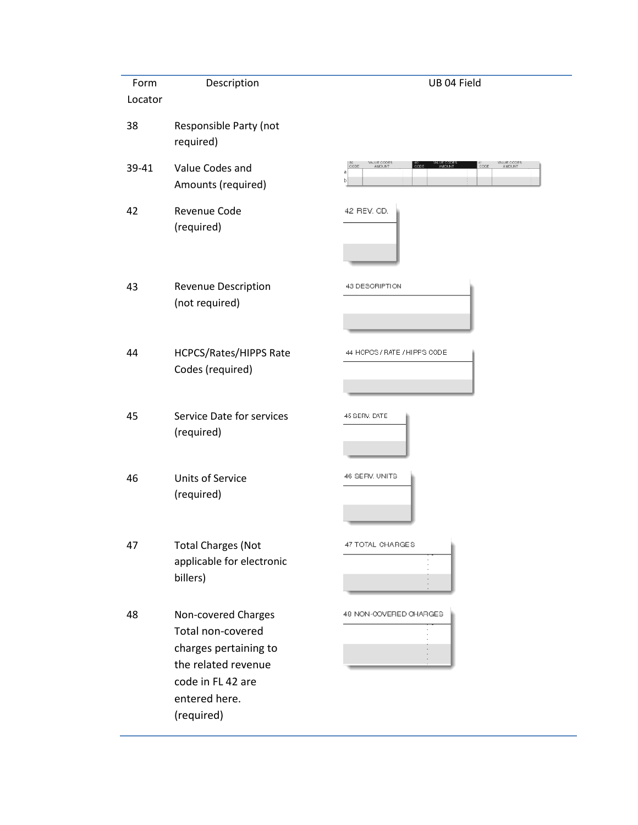| Form    | Description                                                                                                                                  | UB 04 Field                                                                              |
|---------|----------------------------------------------------------------------------------------------------------------------------------------------|------------------------------------------------------------------------------------------|
| Locator |                                                                                                                                              |                                                                                          |
| 38      | Responsible Party (not<br>required)                                                                                                          |                                                                                          |
| 39-41   | Value Codes and<br>Amounts (required)                                                                                                        | VALUE CODES<br>VALUE CODES<br>AMOUNT<br>CODE<br>$\frac{41}{6000}$<br>.<br>CODE<br>a<br>b |
| 42      | Revenue Code<br>(required)                                                                                                                   | 42 REV. GD.                                                                              |
| 43      | Revenue Description<br>(not required)                                                                                                        | 43 DESCRIPTION                                                                           |
| 44      | HCPCS/Rates/HIPPS Rate<br>Codes (required)                                                                                                   | 44 HCPCS / RATE / HIPPS CODE                                                             |
| 45      | Service Date for services<br>(required)                                                                                                      | 45 SERV. DATE                                                                            |
| 46      | <b>Units of Service</b><br>(required)                                                                                                        | 46 SERV. UNITS                                                                           |
| 47      | <b>Total Charges (Not</b><br>applicable for electronic<br>billers)                                                                           | 47 TOTAL CHARGES                                                                         |
| 48      | Non-covered Charges<br>Total non-covered<br>charges pertaining to<br>the related revenue<br>code in FL 42 are<br>entered here.<br>(required) | 48 NON-COVERED CHARGES                                                                   |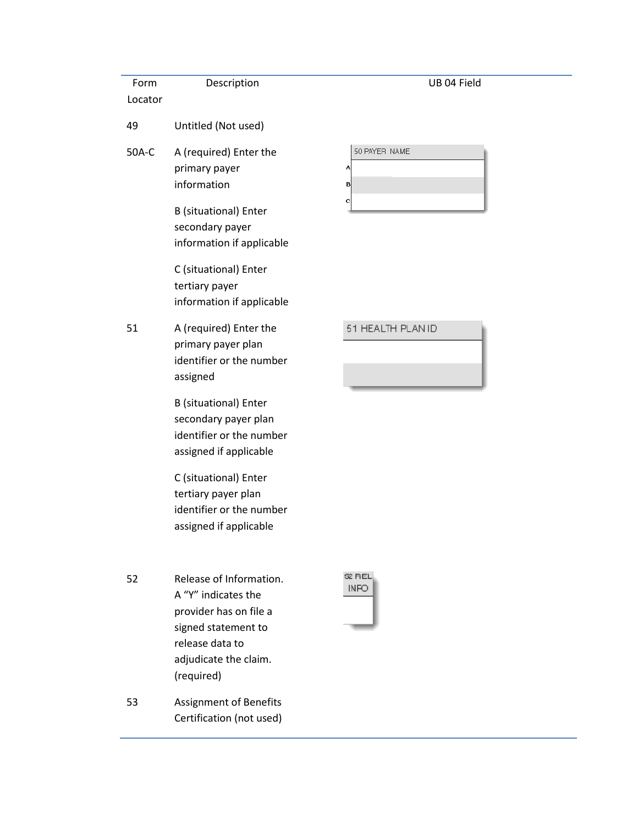| Form<br>Locator | Description                                                                                                                                               | UB 04 Field                  |
|-----------------|-----------------------------------------------------------------------------------------------------------------------------------------------------------|------------------------------|
| 49              | Untitled (Not used)                                                                                                                                       |                              |
| 50A-C           | A (required) Enter the<br>primary payer<br>information<br><b>B</b> (situational) Enter                                                                    | 50 PAYER NAME<br>Α<br>B<br>с |
|                 | secondary payer<br>information if applicable                                                                                                              |                              |
|                 | C (situational) Enter<br>tertiary payer<br>information if applicable                                                                                      |                              |
| 51              | A (required) Enter the<br>primary payer plan<br>identifier or the number<br>assigned                                                                      | 51 HEALTH PLAN ID            |
|                 | <b>B</b> (situational) Enter<br>secondary payer plan<br>identifier or the number<br>assigned if applicable                                                |                              |
|                 | C (situational) Enter<br>tertiary payer plan<br>identifier or the number<br>assigned if applicable                                                        |                              |
| 52              | Release of Information.<br>A "Y" indicates the<br>provider has on file a<br>signed statement to<br>release data to<br>adjudicate the claim.<br>(required) | 62 REL<br>INFO               |
| 53              | Assignment of Benefits<br>Certification (not used)                                                                                                        |                              |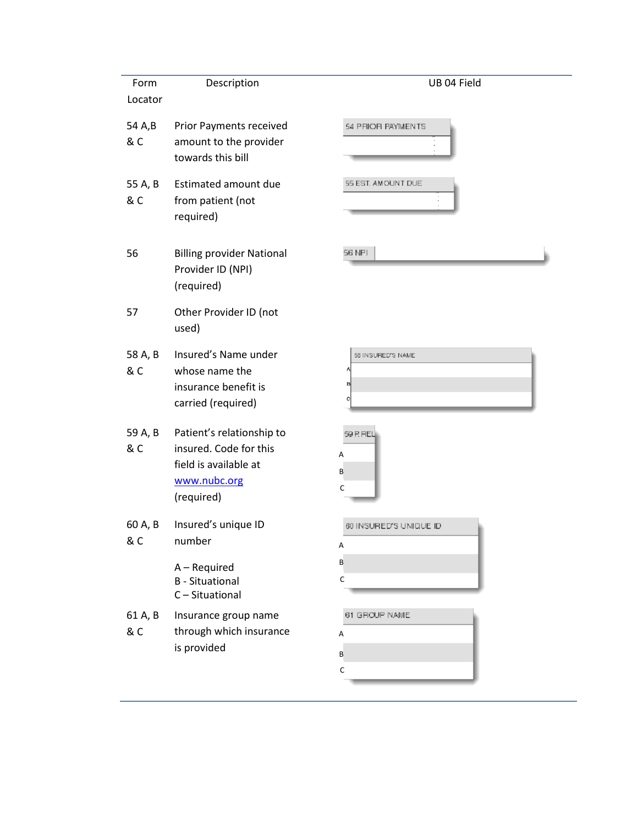| Form<br>Locator | Description                                                                                                | UB 04 Field                             |
|-----------------|------------------------------------------------------------------------------------------------------------|-----------------------------------------|
| 54 A,B<br>& C   | <b>Prior Payments received</b><br>amount to the provider<br>towards this bill                              | 54 PRIOR PAYMENTS                       |
| 55 A, B<br>& C  | Estimated amount due<br>from patient (not<br>required)                                                     | 55 EST. AMOUNT DUE                      |
| 56              | <b>Billing provider National</b><br>Provider ID (NPI)<br>(required)                                        | 56 NPI                                  |
| 57              | Other Provider ID (not<br>used)                                                                            |                                         |
| 58 A, B<br>& C  | Insured's Name under<br>whose name the<br>insurance benefit is<br>carried (required)                       | 58 INSURED'S NAME<br>B                  |
| 59 A, B<br>& C  | Patient's relationship to<br>insured. Code for this<br>field is available at<br>www.nubc.org<br>(required) | 59 P. FIEL<br>Α<br>B<br>C               |
| 60 A, B<br>& C  | Insured's unique ID<br>number                                                                              | 80 INSURED'S UNIQUE ID<br>Α             |
|                 | A - Required<br><b>B</b> - Situational<br>C-Situational                                                    | B<br>$\mathsf C$                        |
| 61 A, B<br>& C  | Insurance group name<br>through which insurance<br>is provided                                             | 61 GROUP NAME<br>Α<br>B<br>$\mathsf{C}$ |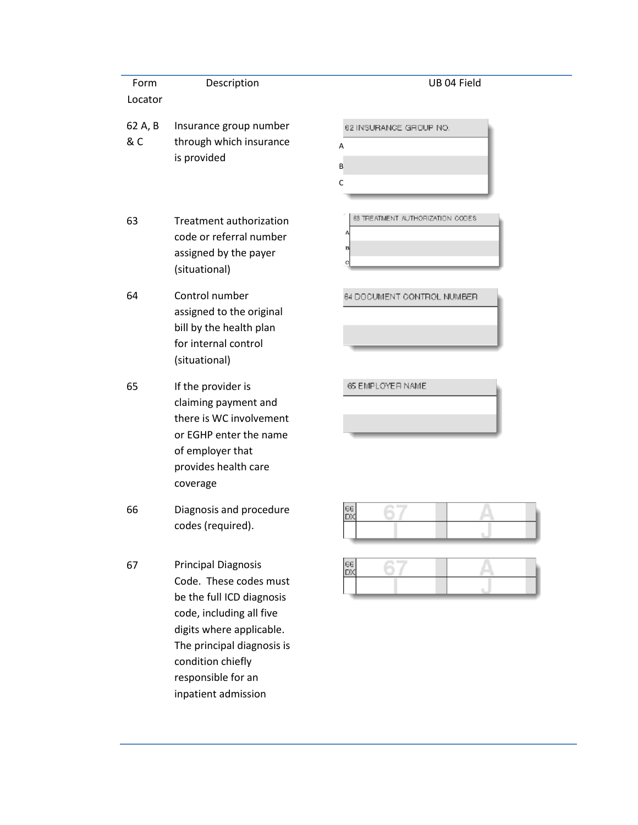| Form           | Description                                                                                                                                                                                                                               | UB 04 Field                                |
|----------------|-------------------------------------------------------------------------------------------------------------------------------------------------------------------------------------------------------------------------------------------|--------------------------------------------|
| Locator        |                                                                                                                                                                                                                                           |                                            |
| 62 A, B<br>& C | Insurance group number<br>through which insurance<br>is provided                                                                                                                                                                          | 62 INSURANCE GROUP NO.<br>A<br>B<br>C      |
| 63             | <b>Treatment authorization</b><br>code or referral number<br>assigned by the payer<br>(situational)                                                                                                                                       | 63 TREATMENT AUTHORIZATION CODES<br>B<br>c |
| 64             | Control number<br>assigned to the original<br>bill by the health plan<br>for internal control<br>(situational)                                                                                                                            | 64 DODUMENT CONTROL NUMBER                 |
| 65             | If the provider is<br>claiming payment and<br>there is WC involvement<br>or EGHP enter the name<br>of employer that<br>provides health care<br>coverage                                                                                   | 65 EMPLOYER NAME                           |
| 66             | Diagnosis and procedure<br>codes (required).                                                                                                                                                                                              | $\frac{66}{D}$                             |
| 67             | <b>Principal Diagnosis</b><br>Code. These codes must<br>be the full ICD diagnosis<br>code, including all five<br>digits where applicable.<br>The principal diagnosis is<br>condition chiefly<br>responsible for an<br>inpatient admission | $\frac{66}{20}$                            |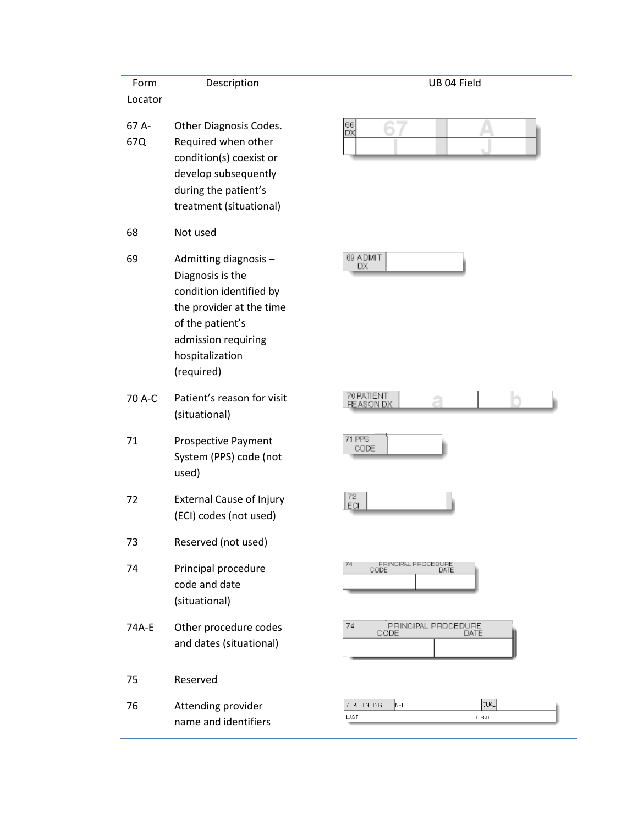| Form         | Description                                                                                                                                                                  | UB 04 Field                                         |
|--------------|------------------------------------------------------------------------------------------------------------------------------------------------------------------------------|-----------------------------------------------------|
| Locator      |                                                                                                                                                                              |                                                     |
| 67 A-<br>67Q | Other Diagnosis Codes.<br>Required when other<br>condition(s) coexist or<br>develop subsequently<br>during the patient's<br>treatment (situational)                          | $\frac{66}{D}$                                      |
| 68           | Not used                                                                                                                                                                     |                                                     |
| 69           | Admitting diagnosis -<br>Diagnosis is the<br>condition identified by<br>the provider at the time<br>of the patient's<br>admission requiring<br>hospitalization<br>(required) | 69 ADMIT<br>DX                                      |
| 70 A-C       | Patient's reason for visit<br>(situational)                                                                                                                                  | 70 PATIENT<br><b>REASON DX</b>                      |
| 71           | <b>Prospective Payment</b><br>System (PPS) code (not<br>used)                                                                                                                | <b>71 PPS</b><br>CODE                               |
| 72           | <b>External Cause of Injury</b><br>(ECI) codes (not used)                                                                                                                    | $\frac{72}{ECl}$                                    |
| 73           | Reserved (not used)                                                                                                                                                          |                                                     |
| 74           | Principal procedure<br>code and date<br>(situational)                                                                                                                        | 74<br>PRINCIPAL PROCEDURE<br>CODE<br>DATE           |
| 74A-E        | Other procedure codes<br>and dates (situational)                                                                                                                             | 74<br>PRINCIPAL PROCEDURE.<br>CODE<br>DATE          |
| 75           | Reserved                                                                                                                                                                     |                                                     |
| 76           | Attending provider<br>name and identifiers                                                                                                                                   | <b>QUAL</b><br>76 ATTENDING<br>NPI<br>LAST<br>FIRST |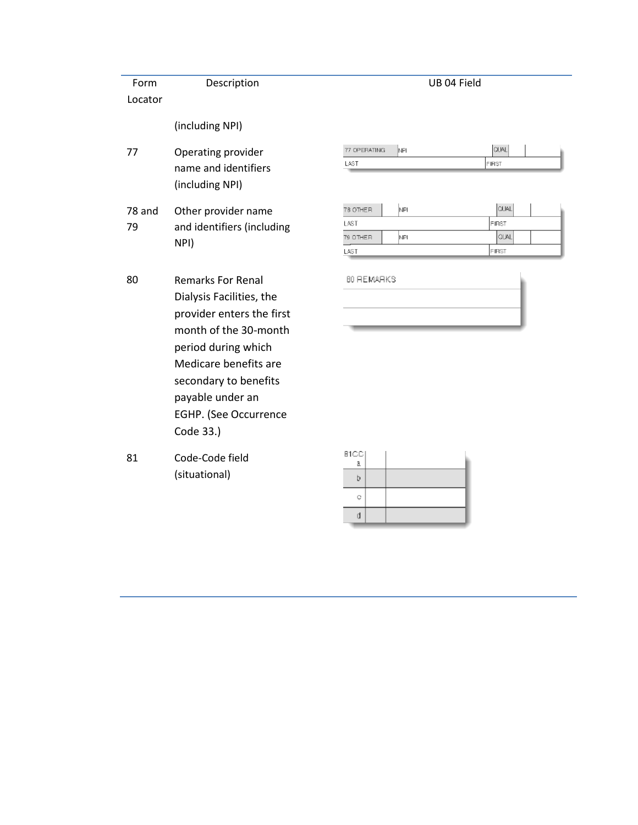| Form<br>Locator | Description                                                                                                                                                                                                                                          |
|-----------------|------------------------------------------------------------------------------------------------------------------------------------------------------------------------------------------------------------------------------------------------------|
|                 | (including NPI)                                                                                                                                                                                                                                      |
| 77              | Operating provider<br>name and identifiers<br>(including NPI)                                                                                                                                                                                        |
| 78 and<br>79    | Other provider name<br>and identifiers (including<br>NPI)                                                                                                                                                                                            |
| 80              | <b>Remarks For Renal</b><br>Dialysis Facilities, the<br>provider enters the first<br>month of the 30-month<br>period during which<br>Medicare benefits are<br>secondary to benefits<br>payable under an<br><b>EGHP. (See Occurrence</b><br>Code 33.) |
| 81              | Code-Code field<br>(situational)                                                                                                                                                                                                                     |

| 77 OPERATING<br>NΡI | <b>QUAL</b> |
|---------------------|-------------|
| LAST                | FIRST       |
|                     |             |
|                     |             |
| ZR OTHER<br>NPL     | <b>CUAL</b> |

UB 04 Field

| 78 OTHER | NFI | <b>CUAL</b>   |
|----------|-----|---------------|
| LAST     |     | <b>IFIRST</b> |
| 79 OTHER | NPL | <b>QUAL</b>   |
| LAST     |     | FIRST         |

BO REMARKS

| 81CC) |  |
|-------|--|
| a     |  |
| b     |  |
| Q     |  |
|       |  |